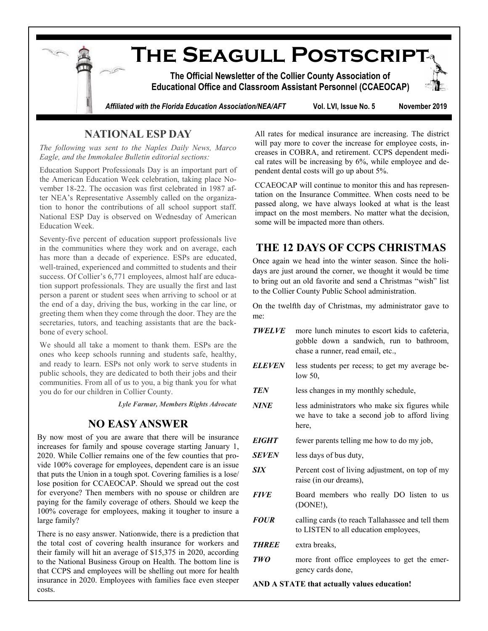

## **NATIONAL ESP DAY**

*The following was sent to the Naples Daily News, Marco Eagle, and the Immokalee Bulletin editorial sections:*

Education Support Professionals Day is an important part of the American Education Week celebration, taking place November 18-22. The occasion was first celebrated in 1987 after NEA's Representative Assembly called on the organization to honor the contributions of all school support staff. National ESP Day is observed on Wednesday of American Education Week.

Seventy-five percent of education support professionals live in the communities where they work and on average, each has more than a decade of experience. ESPs are educated, well-trained, experienced and committed to students and their success. Of Collier's 6,771 employees, almost half are education support professionals. They are usually the first and last person a parent or student sees when arriving to school or at the end of a day, driving the bus, working in the car line, or greeting them when they come through the door. They are the secretaries, tutors, and teaching assistants that are the backbone of every school.

We should all take a moment to thank them. ESPs are the ones who keep schools running and students safe, healthy, and ready to learn. ESPs not only work to serve students in public schools, they are dedicated to both their jobs and their communities. From all of us to you, a big thank you for what you do for our children in Collier County.

*Lyle Farmar, Members Rights Advocate*

## **NO EASY ANSWER**

By now most of you are aware that there will be insurance increases for family and spouse coverage starting January 1, 2020. While Collier remains one of the few counties that provide 100% coverage for employees, dependent care is an issue that puts the Union in a tough spot. Covering families is a lose/ lose position for CCAEOCAP. Should we spread out the cost for everyone? Then members with no spouse or children are paying for the family coverage of others. Should we keep the 100% coverage for employees, making it tougher to insure a large family?

There is no easy answer. Nationwide, there is a prediction that the total cost of covering health insurance for workers and their family will hit an average of \$15,375 in 2020, according to the National Business Group on Health. The bottom line is that CCPS and employees will be shelling out more for health insurance in 2020. Employees with families face even steeper costs.

All rates for medical insurance are increasing. The district will pay more to cover the increase for employee costs, increases in COBRA, and retirement. CCPS dependent medical rates will be increasing by 6%, while employee and dependent dental costs will go up about 5%.

CCAEOCAP will continue to monitor this and has representation on the Insurance Committee. When costs need to be passed along, we have always looked at what is the least impact on the most members. No matter what the decision, some will be impacted more than others.

## **THE 12 DAYS OF CCPS CHRISTMAS**

Once again we head into the winter season. Since the holidays are just around the corner, we thought it would be time to bring out an old favorite and send a Christmas "wish" list to the Collier County Public School administration.

On the twelfth day of Christmas, my administrator gave to me:

- *TWELVE* more lunch minutes to escort kids to cafeteria, gobble down a sandwich, run to bathroom, chase a runner, read email, etc., *ELEVEN* less students per recess; to get my average be-
- low 50,

*TEN* less changes in my monthly schedule,

- *NINE* less administrators who make six figures while we have to take a second job to afford living here,
- *EIGHT* fewer parents telling me how to do my job,
- *SEVEN* less days of bus duty,
- *SIX* Percent cost of living adjustment, on top of my raise (in our dreams),
- **FIVE** Board members who really DO listen to us (DONE!),
- *FOUR* calling cards (to reach Tallahassee and tell them to LISTEN to all education employees,
- *THREE* extra breaks,
- *TWO* more front office employees to get the emergency cards done,

**AND A STATE that actually values education!**